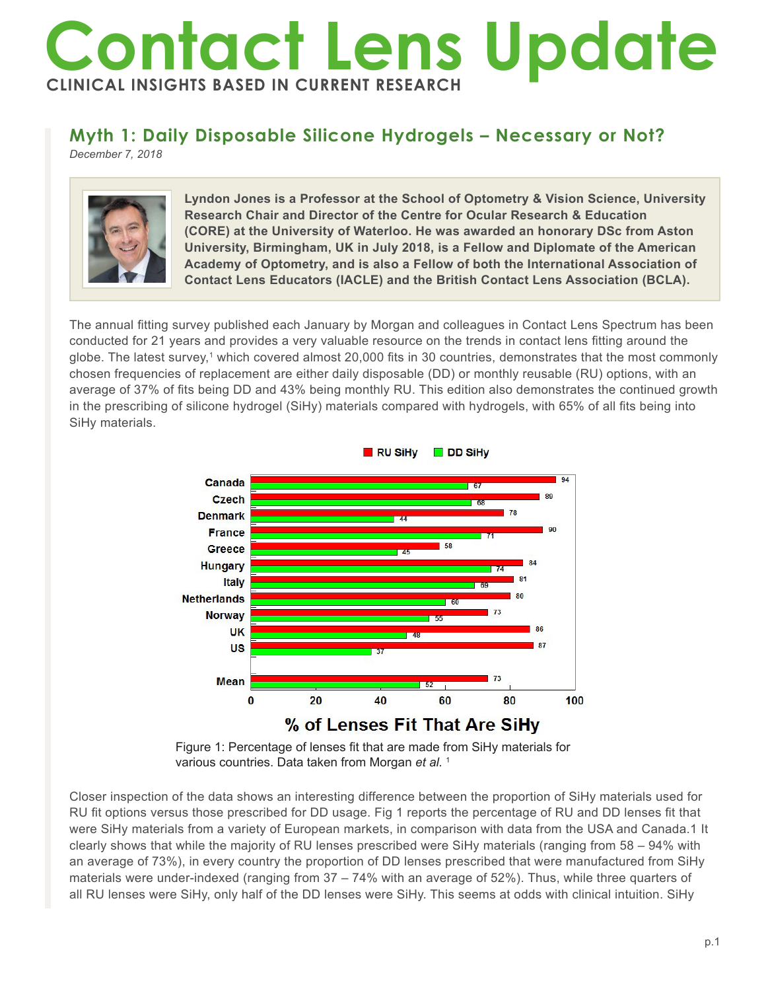# **Contact Lens Update CLINICAL INSIGHTS BASED IN CURRENT RESEARCH**

# **Myth 1: Daily Disposable Silicone Hydrogels – Necessary or Not?**

*December 7, 2018*



**Lyndon Jones is a Professor at the School of Optometry & Vision Science, University Research Chair and Director of the Centre for Ocular Research & Education (CORE) at the University of Waterloo. He was awarded an honorary DSc from Aston University, Birmingham, UK in July 2018, is a Fellow and Diplomate of the American Academy of Optometry, and is also a Fellow of both the International Association of Contact Lens Educators (IACLE) and the British Contact Lens Association (BCLA).**

The annual fitting survey published each January by Morgan and colleagues in Contact Lens Spectrum has been conducted for 21 years and provides a very valuable resource on the trends in contact lens fitting around the globe. The latest survey,1 which covered almost 20,000 fits in 30 countries, demonstrates that the most commonly chosen frequencies of replacement are either daily disposable (DD) or monthly reusable (RU) options, with an average of 37% of fits being DD and 43% being monthly RU. This edition also demonstrates the continued growth in the prescribing of silicone hydrogel (SiHy) materials compared with hydrogels, with 65% of all fits being into SiHy materials.



Figure 1: Percentage of lenses fit that are made from SiHy materials for various countries. Data taken from Morgan *et al.*<sup>1</sup>

Closer inspection of the data shows an interesting difference between the proportion of SiHy materials used for RU fit options versus those prescribed for DD usage. Fig 1 reports the percentage of RU and DD lenses fit that were SiHy materials from a variety of European markets, in comparison with data from the USA and Canada.1 It clearly shows that while the majority of RU lenses prescribed were SiHy materials (ranging from 58 – 94% with an average of 73%), in every country the proportion of DD lenses prescribed that were manufactured from SiHy materials were under-indexed (ranging from 37 – 74% with an average of 52%). Thus, while three quarters of all RU lenses were SiHy, only half of the DD lenses were SiHy. This seems at odds with clinical intuition. SiHy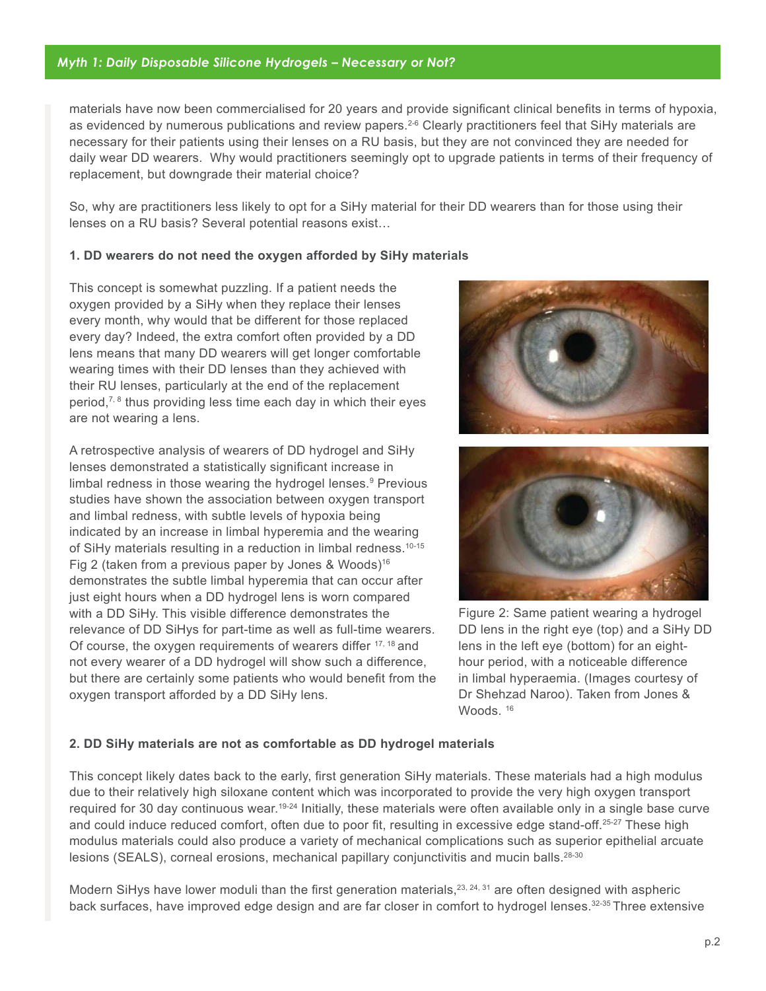materials have now been commercialised for 20 years and provide significant clinical benefits in terms of hypoxia, as evidenced by numerous publications and review papers.<sup>2-6</sup> Clearly practitioners feel that SiHy materials are necessary for their patients using their lenses on a RU basis, but they are not convinced they are needed for daily wear DD wearers. Why would practitioners seemingly opt to upgrade patients in terms of their frequency of replacement, but downgrade their material choice?

So, why are practitioners less likely to opt for a SiHy material for their DD wearers than for those using their lenses on a RU basis? Several potential reasons exist…

#### **1. DD wearers do not need the oxygen afforded by SiHy materials**

This concept is somewhat puzzling. If a patient needs the oxygen provided by a SiHy when they replace their lenses every month, why would that be different for those replaced every day? Indeed, the extra comfort often provided by a DD lens means that many DD wearers will get longer comfortable wearing times with their DD lenses than they achieved with their RU lenses, particularly at the end of the replacement period, $7, 8$  thus providing less time each day in which their eyes are not wearing a lens.

A retrospective analysis of wearers of DD hydrogel and SiHy lenses demonstrated a statistically significant increase in limbal redness in those wearing the hydrogel lenses.<sup>9</sup> Previous studies have shown the association between oxygen transport and limbal redness, with subtle levels of hypoxia being indicated by an increase in limbal hyperemia and the wearing of SiHy materials resulting in a reduction in limbal redness.<sup>10-15</sup> Fig 2 (taken from a previous paper by Jones & Woods)16 demonstrates the subtle limbal hyperemia that can occur after just eight hours when a DD hydrogel lens is worn compared with a DD SiHy. This visible difference demonstrates the relevance of DD SiHys for part-time as well as full-time wearers. Of course, the oxygen requirements of wearers differ <sup>17, 18</sup> and not every wearer of a DD hydrogel will show such a difference, but there are certainly some patients who would benefit from the oxygen transport afforded by a DD SiHy lens.





Figure 2: Same patient wearing a hydrogel DD lens in the right eye (top) and a SiHy DD lens in the left eye (bottom) for an eighthour period, with a noticeable difference in limbal hyperaemia. (Images courtesy of Dr Shehzad Naroo). Taken from Jones & Woods.<sup>16</sup>

### **2. DD SiHy materials are not as comfortable as DD hydrogel materials**

This concept likely dates back to the early, first generation SiHy materials. These materials had a high modulus due to their relatively high siloxane content which was incorporated to provide the very high oxygen transport required for 30 day continuous wear.<sup>19-24</sup> Initially, these materials were often available only in a single base curve and could induce reduced comfort, often due to poor fit, resulting in excessive edge stand-off.<sup>25-27</sup> These high modulus materials could also produce a variety of mechanical complications such as superior epithelial arcuate lesions (SEALS), corneal erosions, mechanical papillary conjunctivitis and mucin balls.28-30

Modern SiHys have lower moduli than the first generation materials,  $23, 24, 31$  are often designed with aspheric back surfaces, have improved edge design and are far closer in comfort to hydrogel lenses.32-35 Three extensive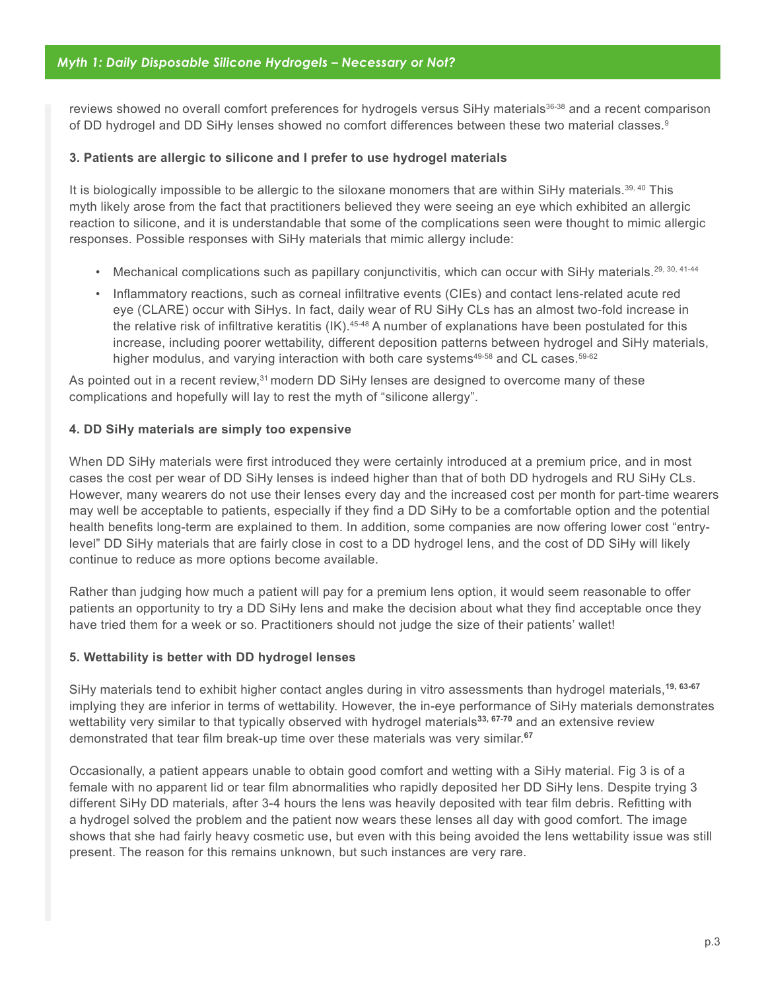reviews showed no overall comfort preferences for hydrogels versus SiHy materials<sup>36-38</sup> and a recent comparison of DD hydrogel and DD SiHy lenses showed no comfort differences between these two material classes.<sup>9</sup>

#### **3. Patients are allergic to silicone and I prefer to use hydrogel materials**

It is biologically impossible to be allergic to the siloxane monomers that are within SiHy materials.<sup>39, 40</sup> This myth likely arose from the fact that practitioners believed they were seeing an eye which exhibited an allergic reaction to silicone, and it is understandable that some of the complications seen were thought to mimic allergic responses. Possible responses with SiHy materials that mimic allergy include:

- Mechanical complications such as papillary conjunctivitis, which can occur with SiHy materials.<sup>29, 30, 41-44</sup>
- Inflammatory reactions, such as corneal infiltrative events (CIEs) and contact lens-related acute red eye (CLARE) occur with SiHys. In fact, daily wear of RU SiHy CLs has an almost two-fold increase in the relative risk of infiltrative keratitis (IK).45-48 A number of explanations have been postulated for this increase, including poorer wettability, different deposition patterns between hydrogel and SiHy materials, higher modulus, and varying interaction with both care systems<sup>49-58</sup> and CL cases.<sup>59-62</sup>

As pointed out in a recent review,<sup>31</sup> modern DD SiHy lenses are designed to overcome many of these complications and hopefully will lay to rest the myth of "silicone allergy".

#### **4. DD SiHy materials are simply too expensive**

When DD SiHy materials were first introduced they were certainly introduced at a premium price, and in most cases the cost per wear of DD SiHy lenses is indeed higher than that of both DD hydrogels and RU SiHy CLs. However, many wearers do not use their lenses every day and the increased cost per month for part-time wearers may well be acceptable to patients, especially if they find a DD SiHy to be a comfortable option and the potential health benefits long-term are explained to them. In addition, some companies are now offering lower cost "entrylevel" DD SiHy materials that are fairly close in cost to a DD hydrogel lens, and the cost of DD SiHy will likely continue to reduce as more options become available.

Rather than judging how much a patient will pay for a premium lens option, it would seem reasonable to offer patients an opportunity to try a DD SiHy lens and make the decision about what they find acceptable once they have tried them for a week or so. Practitioners should not judge the size of their patients' wallet!

#### **5. Wettability is better with DD hydrogel lenses**

SiHy materials tend to exhibit higher contact angles during in vitro assessments than hydrogel materials,**19, 63-67** implying they are inferior in terms of wettability. However, the in-eye performance of SiHy materials demonstrates wettability very similar to that typically observed with hydrogel materials**33, 67-70** and an extensive review demonstrated that tear film break-up time over these materials was very similar.**<sup>67</sup>**

Occasionally, a patient appears unable to obtain good comfort and wetting with a SiHy material. Fig 3 is of a female with no apparent lid or tear film abnormalities who rapidly deposited her DD SiHy lens. Despite trying 3 different SiHy DD materials, after 3-4 hours the lens was heavily deposited with tear film debris. Refitting with a hydrogel solved the problem and the patient now wears these lenses all day with good comfort. The image shows that she had fairly heavy cosmetic use, but even with this being avoided the lens wettability issue was still present. The reason for this remains unknown, but such instances are very rare.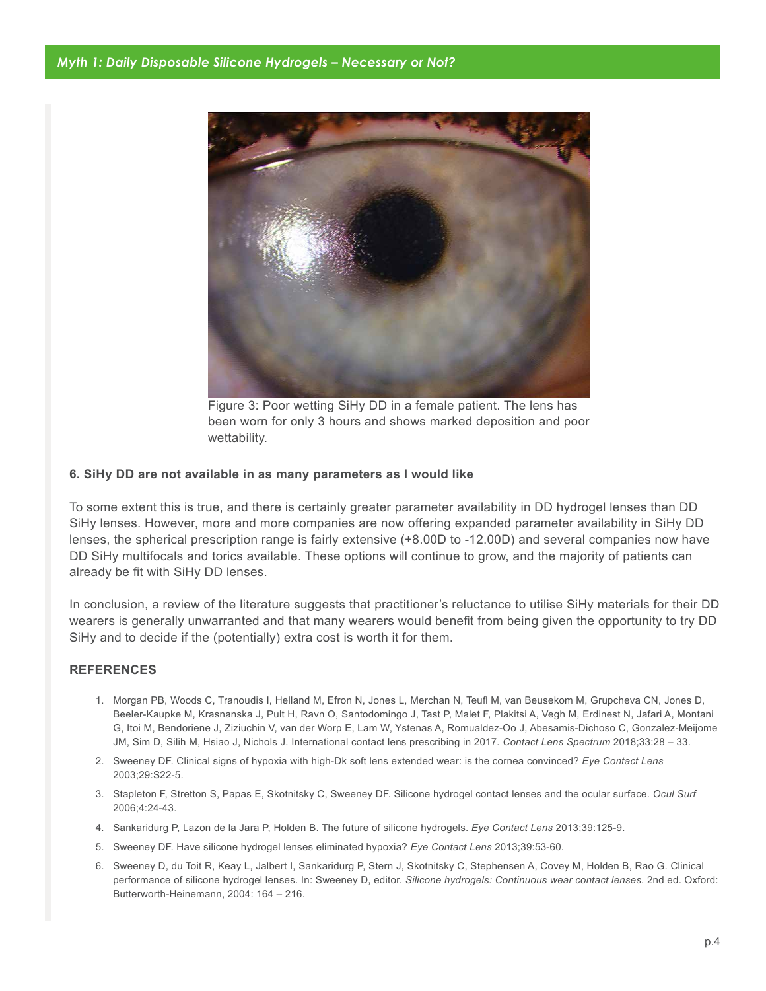

Figure 3: Poor wetting SiHy DD in a female patient. The lens has been worn for only 3 hours and shows marked deposition and poor wettability.

#### **6. SiHy DD are not available in as many parameters as I would like**

To some extent this is true, and there is certainly greater parameter availability in DD hydrogel lenses than DD SiHy lenses. However, more and more companies are now offering expanded parameter availability in SiHy DD lenses, the spherical prescription range is fairly extensive (+8.00D to -12.00D) and several companies now have DD SiHy multifocals and torics available. These options will continue to grow, and the majority of patients can already be fit with SiHy DD lenses.

In conclusion, a review of the literature suggests that practitioner's reluctance to utilise SiHy materials for their DD wearers is generally unwarranted and that many wearers would benefit from being given the opportunity to try DD SiHy and to decide if the (potentially) extra cost is worth it for them.

#### **REFERENCES**

- 1. Morgan PB, Woods C, Tranoudis I, Helland M, Efron N, Jones L, Merchan N, Teufl M, van Beusekom M, Grupcheva CN, Jones D, Beeler-Kaupke M, Krasnanska J, Pult H, Ravn O, Santodomingo J, Tast P, Malet F, Plakitsi A, Vegh M, Erdinest N, Jafari A, Montani G, Itoi M, Bendoriene J, Ziziuchin V, van der Worp E, Lam W, Ystenas A, Romualdez-Oo J, Abesamis-Dichoso C, Gonzalez-Meijome JM, Sim D, Silih M, Hsiao J, Nichols J. International contact lens prescribing in 2017. *Contact Lens Spectrum* 2018;33:28 – 33.
- 2. Sweeney DF. Clinical signs of hypoxia with high-Dk soft lens extended wear: is the cornea convinced? *Eye Contact Lens* 2003;29:S22-5.
- 3. Stapleton F, Stretton S, Papas E, Skotnitsky C, Sweeney DF. Silicone hydrogel contact lenses and the ocular surface. *Ocul Surf*  2006;4:24-43.
- 4. Sankaridurg P, Lazon de la Jara P, Holden B. The future of silicone hydrogels. *Eye Contact Lens* 2013;39:125-9.
- 5. Sweeney DF. Have silicone hydrogel lenses eliminated hypoxia? *Eye Contact Lens* 2013;39:53-60.
- 6. Sweeney D, du Toit R, Keay L, Jalbert I, Sankaridurg P, Stern J, Skotnitsky C, Stephensen A, Covey M, Holden B, Rao G. Clinical performance of silicone hydrogel lenses. In: Sweeney D, editor. *Silicone hydrogels: Continuous wear contact lenses*. 2nd ed. Oxford: Butterworth-Heinemann, 2004: 164 – 216.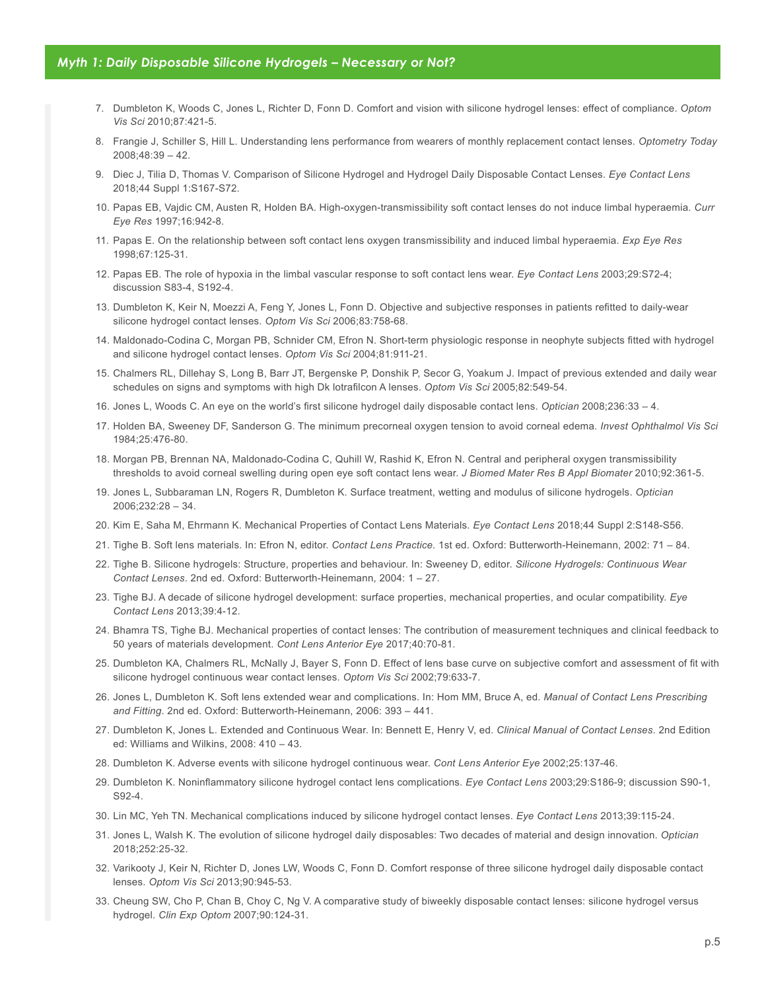- 7. Dumbleton K, Woods C, Jones L, Richter D, Fonn D. Comfort and vision with silicone hydrogel lenses: effect of compliance. *Optom Vis Sci* 2010;87:421-5.
- 8. Frangie J, Schiller S, Hill L. Understanding lens performance from wearers of monthly replacement contact lenses. *Optometry Today* 2008;48:39 – 42.
- 9. Diec J, Tilia D, Thomas V. Comparison of Silicone Hydrogel and Hydrogel Daily Disposable Contact Lenses. *Eye Contact Lens*  2018;44 Suppl 1:S167-S72.
- 10. Papas EB, Vajdic CM, Austen R, Holden BA. High-oxygen-transmissibility soft contact lenses do not induce limbal hyperaemia. *Curr Eye Res* 1997;16:942-8.
- 11. Papas E. On the relationship between soft contact lens oxygen transmissibility and induced limbal hyperaemia. *Exp Eye Res* 1998;67:125-31.
- 12. Papas EB. The role of hypoxia in the limbal vascular response to soft contact lens wear. *Eye Contact Lens* 2003;29:S72-4; discussion S83-4, S192-4.
- 13. Dumbleton K, Keir N, Moezzi A, Feng Y, Jones L, Fonn D. Objective and subjective responses in patients refitted to daily-wear silicone hydrogel contact lenses. *Optom Vis Sci* 2006;83:758-68.
- 14. Maldonado-Codina C, Morgan PB, Schnider CM, Efron N. Short-term physiologic response in neophyte subjects fitted with hydrogel and silicone hydrogel contact lenses. *Optom Vis Sci* 2004;81:911-21.
- 15. Chalmers RL, Dillehay S, Long B, Barr JT, Bergenske P, Donshik P, Secor G, Yoakum J. Impact of previous extended and daily wear schedules on signs and symptoms with high Dk lotrafilcon A lenses. *Optom Vis Sci* 2005;82:549-54.
- 16. Jones L, Woods C. An eye on the world's first silicone hydrogel daily disposable contact lens. *Optician* 2008;236:33 4.
- 17. Holden BA, Sweeney DF, Sanderson G. The minimum precorneal oxygen tension to avoid corneal edema. *Invest Ophthalmol Vis Sci*  1984;25:476-80.
- 18. Morgan PB, Brennan NA, Maldonado-Codina C, Quhill W, Rashid K, Efron N. Central and peripheral oxygen transmissibility thresholds to avoid corneal swelling during open eye soft contact lens wear. *J Biomed Mater Res B Appl Biomater* 2010;92:361-5.
- 19. Jones L, Subbaraman LN, Rogers R, Dumbleton K. Surface treatment, wetting and modulus of silicone hydrogels. *Optician* 2006;232:28 – 34.
- 20. Kim E, Saha M, Ehrmann K. Mechanical Properties of Contact Lens Materials. *Eye Contact Lens* 2018;44 Suppl 2:S148-S56.
- 21. Tighe B. Soft lens materials. In: Efron N, editor. *Contact Lens Practice.* 1st ed. Oxford: Butterworth-Heinemann, 2002: 71 84.
- 22. Tighe B. Silicone hydrogels: Structure, properties and behaviour. In: Sweeney D, editor. *Silicone Hydrogels: Continuous Wear Contact Lenses*. 2nd ed. Oxford: Butterworth-Heinemann, 2004: 1 – 27.
- 23. Tighe BJ. A decade of silicone hydrogel development: surface properties, mechanical properties, and ocular compatibility. *Eye Contact Lens* 2013;39:4-12.
- 24. Bhamra TS, Tighe BJ. Mechanical properties of contact lenses: The contribution of measurement techniques and clinical feedback to 50 years of materials development. *Cont Lens Anterior Eye* 2017;40:70-81.
- 25. Dumbleton KA, Chalmers RL, McNally J, Bayer S, Fonn D. Effect of lens base curve on subjective comfort and assessment of fit with silicone hydrogel continuous wear contact lenses. *Optom Vis Sci* 2002;79:633-7.
- 26. Jones L, Dumbleton K. Soft lens extended wear and complications. In: Hom MM, Bruce A, ed. *Manual of Contact Lens Prescribing and Fitting*. 2nd ed. Oxford: Butterworth-Heinemann, 2006: 393 – 441.
- 27. Dumbleton K, Jones L. Extended and Continuous Wear. In: Bennett E, Henry V, ed. *Clinical Manual of Contact Lenses*. 2nd Edition ed: Williams and Wilkins, 2008: 410 – 43.
- 28. Dumbleton K. Adverse events with silicone hydrogel continuous wear. *Cont Lens Anterior Eye* 2002;25:137-46.
- 29. Dumbleton K. Noninflammatory silicone hydrogel contact lens complications. *Eye Contact Lens* 2003;29:S186-9; discussion S90-1, S92-4.
- 30. Lin MC, Yeh TN. Mechanical complications induced by silicone hydrogel contact lenses. *Eye Contact Lens* 2013;39:115-24.
- 31. Jones L, Walsh K. The evolution of silicone hydrogel daily disposables: Two decades of material and design innovation. *Optician* 2018;252:25-32.
- 32. Varikooty J, Keir N, Richter D, Jones LW, Woods C, Fonn D. Comfort response of three silicone hydrogel daily disposable contact lenses. *Optom Vis Sci* 2013;90:945-53.
- 33. Cheung SW, Cho P, Chan B, Choy C, Ng V. A comparative study of biweekly disposable contact lenses: silicone hydrogel versus hydrogel. *Clin Exp Optom* 2007;90:124-31.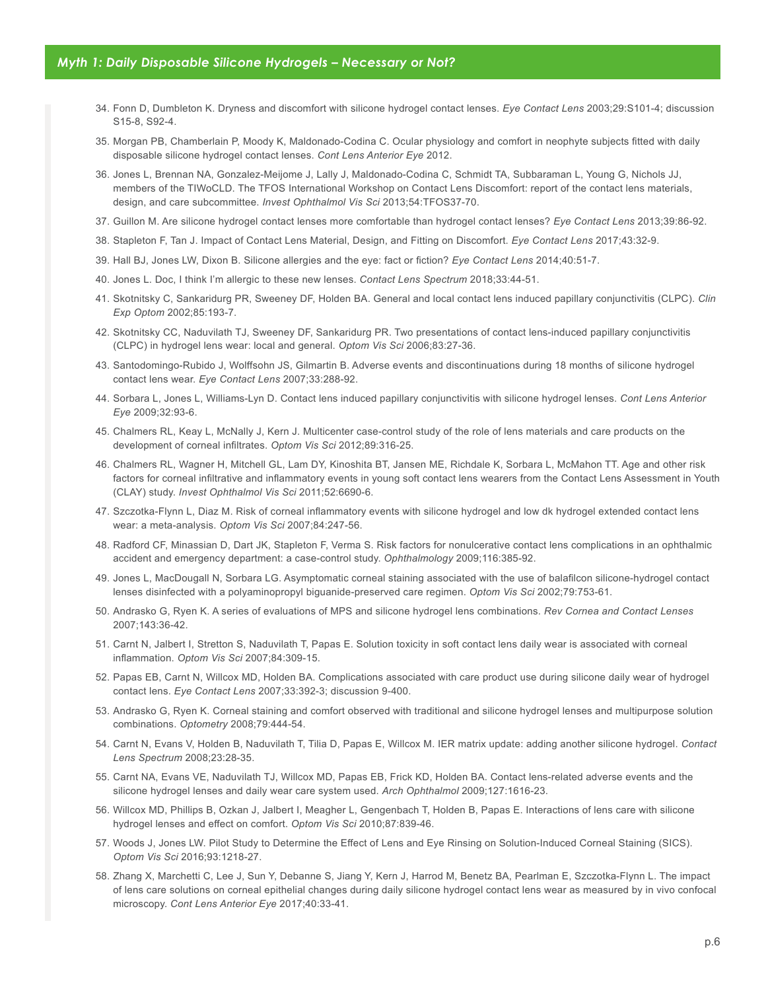- 34. Fonn D, Dumbleton K. Dryness and discomfort with silicone hydrogel contact lenses. *Eye Contact Lens* 2003;29:S101-4; discussion S15-8, S92-4.
- 35. Morgan PB, Chamberlain P, Moody K, Maldonado-Codina C. Ocular physiology and comfort in neophyte subjects fitted with daily disposable silicone hydrogel contact lenses. *Cont Lens Anterior Eye* 2012.
- 36. Jones L, Brennan NA, Gonzalez-Meijome J, Lally J, Maldonado-Codina C, Schmidt TA, Subbaraman L, Young G, Nichols JJ, members of the TIWoCLD. The TFOS International Workshop on Contact Lens Discomfort: report of the contact lens materials, design, and care subcommittee. *Invest Ophthalmol Vis Sci* 2013;54:TFOS37-70.
- 37. Guillon M. Are silicone hydrogel contact lenses more comfortable than hydrogel contact lenses? *Eye Contact Lens* 2013;39:86-92.
- 38. Stapleton F, Tan J. Impact of Contact Lens Material, Design, and Fitting on Discomfort. *Eye Contact Lens* 2017;43:32-9.
- 39. Hall BJ, Jones LW, Dixon B. Silicone allergies and the eye: fact or fiction? *Eye Contact Lens* 2014;40:51-7.
- 40. Jones L. Doc, I think I'm allergic to these new lenses. *Contact Lens Spectrum* 2018;33:44-51.
- 41. Skotnitsky C, Sankaridurg PR, Sweeney DF, Holden BA. General and local contact lens induced papillary conjunctivitis (CLPC). *Clin Exp Optom* 2002;85:193-7.
- 42. Skotnitsky CC, Naduvilath TJ, Sweeney DF, Sankaridurg PR. Two presentations of contact lens-induced papillary conjunctivitis (CLPC) in hydrogel lens wear: local and general. *Optom Vis Sci* 2006;83:27-36.
- 43. Santodomingo-Rubido J, Wolffsohn JS, Gilmartin B. Adverse events and discontinuations during 18 months of silicone hydrogel contact lens wear. *Eye Contact Lens* 2007;33:288-92.
- 44. Sorbara L, Jones L, Williams-Lyn D. Contact lens induced papillary conjunctivitis with silicone hydrogel lenses. *Cont Lens Anterior Eye* 2009;32:93-6.
- 45. Chalmers RL, Keay L, McNally J, Kern J. Multicenter case-control study of the role of lens materials and care products on the development of corneal infiltrates. *Optom Vis Sci* 2012;89:316-25.
- 46. Chalmers RL, Wagner H, Mitchell GL, Lam DY, Kinoshita BT, Jansen ME, Richdale K, Sorbara L, McMahon TT. Age and other risk factors for corneal infiltrative and inflammatory events in young soft contact lens wearers from the Contact Lens Assessment in Youth (CLAY) study. *Invest Ophthalmol Vis Sci* 2011;52:6690-6.
- 47. Szczotka-Flynn L, Diaz M. Risk of corneal inflammatory events with silicone hydrogel and low dk hydrogel extended contact lens wear: a meta-analysis. *Optom Vis Sci* 2007;84:247-56.
- 48. Radford CF, Minassian D, Dart JK, Stapleton F, Verma S. Risk factors for nonulcerative contact lens complications in an ophthalmic accident and emergency department: a case-control study. *Ophthalmology* 2009;116:385-92.
- 49. Jones L, MacDougall N, Sorbara LG. Asymptomatic corneal staining associated with the use of balafilcon silicone-hydrogel contact lenses disinfected with a polyaminopropyl biguanide-preserved care regimen. *Optom Vis Sci* 2002;79:753-61.
- 50. Andrasko G, Ryen K. A series of evaluations of MPS and silicone hydrogel lens combinations. *Rev Cornea and Contact Lenses* 2007;143:36-42.
- 51. Carnt N, Jalbert I, Stretton S, Naduvilath T, Papas E. Solution toxicity in soft contact lens daily wear is associated with corneal inflammation. *Optom Vis Sci* 2007;84:309-15.
- 52. Papas EB, Carnt N, Willcox MD, Holden BA. Complications associated with care product use during silicone daily wear of hydrogel contact lens. *Eye Contact Lens* 2007;33:392-3; discussion 9-400.
- 53. Andrasko G, Ryen K. Corneal staining and comfort observed with traditional and silicone hydrogel lenses and multipurpose solution combinations. *Optometry* 2008;79:444-54.
- 54. Carnt N, Evans V, Holden B, Naduvilath T, Tilia D, Papas E, Willcox M. IER matrix update: adding another silicone hydrogel. *Contact Lens Spectrum* 2008;23:28-35.
- 55. Carnt NA, Evans VE, Naduvilath TJ, Willcox MD, Papas EB, Frick KD, Holden BA. Contact lens-related adverse events and the silicone hydrogel lenses and daily wear care system used. *Arch Ophthalmol* 2009;127:1616-23.
- 56. Willcox MD, Phillips B, Ozkan J, Jalbert I, Meagher L, Gengenbach T, Holden B, Papas E. Interactions of lens care with silicone hydrogel lenses and effect on comfort. *Optom Vis Sci* 2010;87:839-46.
- 57. Woods J, Jones LW. Pilot Study to Determine the Effect of Lens and Eye Rinsing on Solution-Induced Corneal Staining (SICS). *Optom Vis Sci* 2016;93:1218-27.
- 58. Zhang X, Marchetti C, Lee J, Sun Y, Debanne S, Jiang Y, Kern J, Harrod M, Benetz BA, Pearlman E, Szczotka-Flynn L. The impact of lens care solutions on corneal epithelial changes during daily silicone hydrogel contact lens wear as measured by in vivo confocal microscopy. *Cont Lens Anterior Eye* 2017;40:33-41.